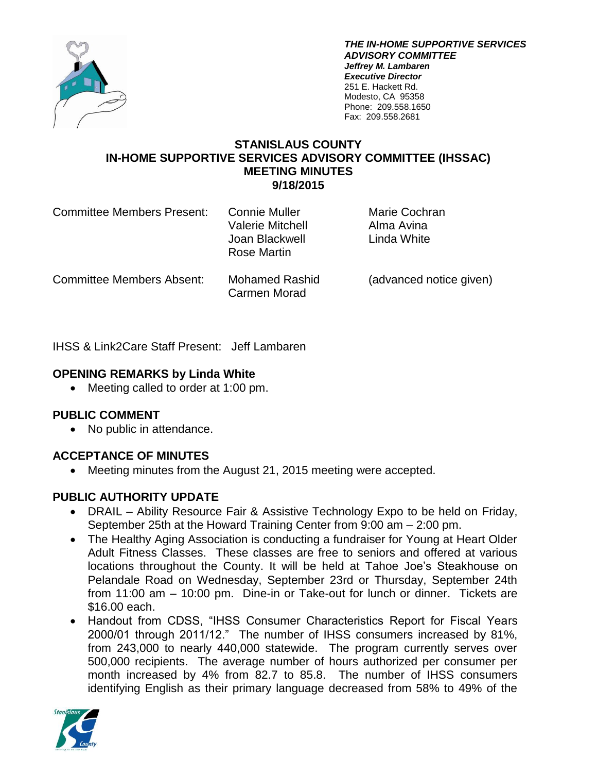

*THE IN-HOME SUPPORTIVE SERVICES ADVISORY COMMITTEE Jeffrey M. Lambaren Executive Director* 251 E. Hackett Rd. Modesto, CA 95358 Phone: 209.558.1650 Fax: 209.558.2681

#### **STANISLAUS COUNTY IN-HOME SUPPORTIVE SERVICES ADVISORY COMMITTEE (IHSSAC) MEETING MINUTES 9/18/2015**

| <b>Committee Members Present:</b> | <b>Connie Muller</b><br><b>Valerie Mitchell</b><br>Joan Blackwell<br>Rose Martin | Marie Cochran<br>Alma Avina<br>Linda White |
|-----------------------------------|----------------------------------------------------------------------------------|--------------------------------------------|
| <b>Committee Members Absent:</b>  | <b>Mohamed Rashid</b><br>Carmen Morad                                            | (advanced notice given)                    |

IHSS & Link2Care Staff Present: Jeff Lambaren

### **OPENING REMARKS by Linda White**

• Meeting called to order at 1:00 pm.

### **PUBLIC COMMENT**

• No public in attendance.

### **ACCEPTANCE OF MINUTES**

Meeting minutes from the August 21, 2015 meeting were accepted.

#### **PUBLIC AUTHORITY UPDATE**

- DRAIL Ability Resource Fair & Assistive Technology Expo to be held on Friday, September 25th at the Howard Training Center from 9:00 am – 2:00 pm.
- The Healthy Aging Association is conducting a fundraiser for Young at Heart Older Adult Fitness Classes. These classes are free to seniors and offered at various locations throughout the County. It will be held at Tahoe Joe's Steakhouse on Pelandale Road on Wednesday, September 23rd or Thursday, September 24th from 11:00 am – 10:00 pm. Dine-in or Take-out for lunch or dinner. Tickets are \$16.00 each.
- Handout from CDSS, "IHSS Consumer Characteristics Report for Fiscal Years 2000/01 through 2011/12." The number of IHSS consumers increased by 81%, from 243,000 to nearly 440,000 statewide. The program currently serves over 500,000 recipients. The average number of hours authorized per consumer per month increased by 4% from 82.7 to 85.8. The number of IHSS consumers identifying English as their primary language decreased from 58% to 49% of the

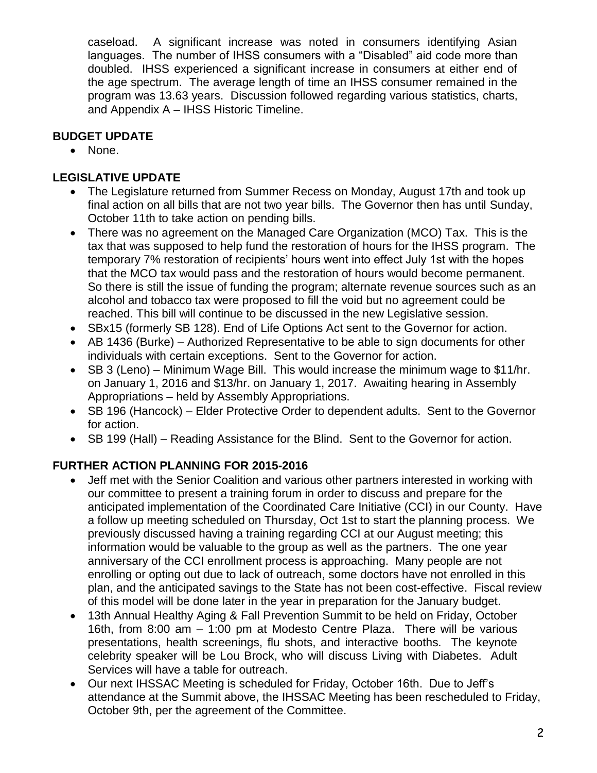caseload. A significant increase was noted in consumers identifying Asian languages. The number of IHSS consumers with a "Disabled" aid code more than doubled. IHSS experienced a significant increase in consumers at either end of the age spectrum. The average length of time an IHSS consumer remained in the program was 13.63 years. Discussion followed regarding various statistics, charts, and Appendix A – IHSS Historic Timeline.

## **BUDGET UPDATE**

• None.

# **LEGISLATIVE UPDATE**

- The Legislature returned from Summer Recess on Monday, August 17th and took up final action on all bills that are not two year bills. The Governor then has until Sunday, October 11th to take action on pending bills.
- There was no agreement on the Managed Care Organization (MCO) Tax. This is the tax that was supposed to help fund the restoration of hours for the IHSS program. The temporary 7% restoration of recipients' hours went into effect July 1st with the hopes that the MCO tax would pass and the restoration of hours would become permanent. So there is still the issue of funding the program; alternate revenue sources such as an alcohol and tobacco tax were proposed to fill the void but no agreement could be reached. This bill will continue to be discussed in the new Legislative session.
- SBx15 (formerly SB 128). End of Life Options Act sent to the Governor for action.
- AB 1436 (Burke) Authorized Representative to be able to sign documents for other individuals with certain exceptions. Sent to the Governor for action.
- SB 3 (Leno) Minimum Wage Bill. This would increase the minimum wage to \$11/hr. on January 1, 2016 and \$13/hr. on January 1, 2017. Awaiting hearing in Assembly Appropriations – held by Assembly Appropriations.
- SB 196 (Hancock) Elder Protective Order to dependent adults. Sent to the Governor for action.
- SB 199 (Hall) Reading Assistance for the Blind. Sent to the Governor for action.

# **FURTHER ACTION PLANNING FOR 2015-2016**

- Jeff met with the Senior Coalition and various other partners interested in working with our committee to present a training forum in order to discuss and prepare for the anticipated implementation of the Coordinated Care Initiative (CCI) in our County. Have a follow up meeting scheduled on Thursday, Oct 1st to start the planning process. We previously discussed having a training regarding CCI at our August meeting; this information would be valuable to the group as well as the partners. The one year anniversary of the CCI enrollment process is approaching. Many people are not enrolling or opting out due to lack of outreach, some doctors have not enrolled in this plan, and the anticipated savings to the State has not been cost-effective. Fiscal review of this model will be done later in the year in preparation for the January budget.
- 13th Annual Healthy Aging & Fall Prevention Summit to be held on Friday, October 16th, from 8:00 am – 1:00 pm at Modesto Centre Plaza. There will be various presentations, health screenings, flu shots, and interactive booths. The keynote celebrity speaker will be Lou Brock, who will discuss Living with Diabetes. Adult Services will have a table for outreach.
- Our next IHSSAC Meeting is scheduled for Friday, October 16th. Due to Jeff's attendance at the Summit above, the IHSSAC Meeting has been rescheduled to Friday, October 9th, per the agreement of the Committee.